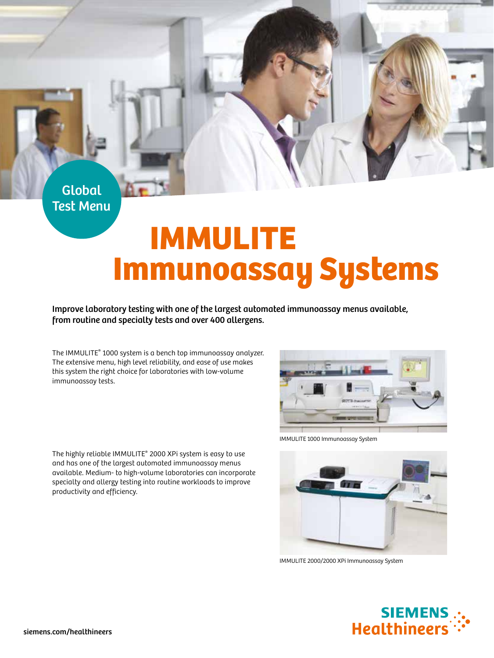Global Test Menu

# IMMULITE Immunoassay Systems

Improve laboratory testing with one of the largest automated immunoassay menus available, from routine and specialty tests and over 400 allergens.

The IMMULITE® 1000 system is a bench top immunoassay analyzer. The extensive menu, high level reliability, and ease of use makes this system the right choice for laboratories with low-volume immunoassay tests.



The highly reliable IMMULITE® 2000 XPi system is easy to use and has one of the largest automated immunoassay menus available. Medium- to high-volume laboratories can incorporate specialty and allergy testing into routine workloads to improve productivity and efficiency.

IMMULITE 1000 Immunoassay System



IMMULITE 2000/2000 XPi Immunoassay System